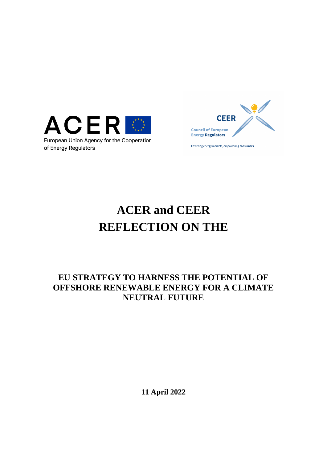

of Energy Regulators



Fostering energy markets, empowering consumers.

# **ACER and CEER REFLECTION ON THE**

## **EU STRATEGY TO HARNESS THE POTENTIAL OF OFFSHORE RENEWABLE ENERGY FOR A CLIMATE NEUTRAL FUTURE**

**11 April 2022**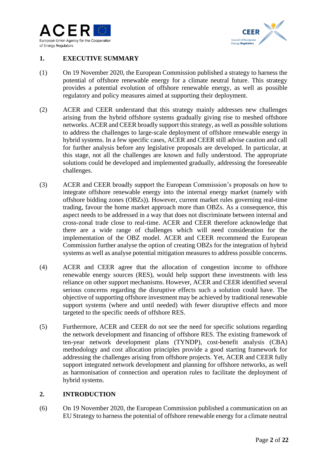



### **1. EXECUTIVE SUMMARY**

- (1) On 19 November 2020, the European Commission published a strategy to harness the potential of offshore renewable energy for a climate neutral future. This strategy provides a potential evolution of offshore renewable energy, as well as possible regulatory and policy measures aimed at supporting their deployment.
- (2) ACER and CEER understand that this strategy mainly addresses new challenges arising from the hybrid offshore systems gradually giving rise to meshed offshore networks. ACER and CEER broadly support this strategy, as well as possible solutions to address the challenges to large-scale deployment of offshore renewable energy in hybrid systems. In a few specific cases, ACER and CEER still advise caution and call for further analysis before any legislative proposals are developed. In particular, at this stage, not all the challenges are known and fully understood. The appropriate solutions could be developed and implemented gradually, addressing the foreseeable challenges.
- (3) ACER and CEER broadly support the European Commission's proposals on how to integrate offshore renewable energy into the internal energy market (namely with offshore bidding zones (OBZs)). However, current market rules governing real-time trading, favour the home market approach more than OBZs. As a consequence, this aspect needs to be addressed in a way that does not discriminate between internal and cross-zonal trade close to real-time. ACER and CEER therefore acknowledge that there are a wide range of challenges which will need consideration for the implementation of the OBZ model. ACER and CEER recommend the European Commission further analyse the option of creating OBZs for the integration of hybrid systems as well as analyse potential mitigation measures to address possible concerns.
- (4) ACER and CEER agree that the allocation of congestion income to offshore renewable energy sources (RES), would help support these investments with less reliance on other support mechanisms. However, ACER and CEER identified several serious concerns regarding the disruptive effects such a solution could have. The objective of supporting offshore investment may be achieved by traditional renewable support systems (where and until needed) with fewer disruptive effects and more targeted to the specific needs of offshore RES.
- (5) Furthermore, ACER and CEER do not see the need for specific solutions regarding the network development and financing of offshore RES. The existing framework of ten-year network development plans (TYNDP), cost-benefit analysis (CBA) methodology and cost allocation principles provide a good starting framework for addressing the challenges arising from offshore projects. Yet, ACER and CEER fully support integrated network development and planning for offshore networks, as well as harmonisation of connection and operation rules to facilitate the deployment of hybrid systems.

### **2. INTRODUCTION**

(6) On 19 November 2020, the European Commission published a communication on an EU Strategy to harness the potential of offshore renewable energy for a climate neutral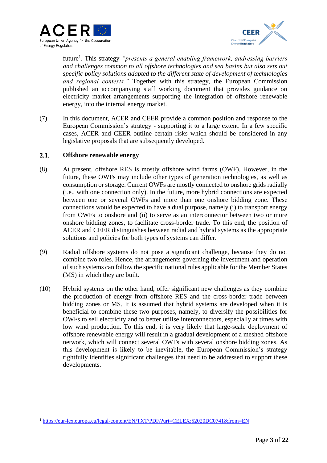



future<sup>1</sup>. This strategy *"presents a general enabling framework, addressing barriers and challenges common to all offshore technologies and sea basins but also sets out specific policy solutions adapted to the different state of development of technologies and regional contexts."* Together with this strategy, the European Commission published an accompanying staff working document that provides guidance on electricity market arrangements supporting the integration of offshore renewable energy, into the internal energy market.

(7) In this document, ACER and CEER provide a common position and response to the European Commission's strategy - supporting it to a large extent. In a few specific cases, ACER and CEER outline certain risks which should be considered in any legislative proposals that are subsequently developed.

#### $2.1.$ **Offshore renewable energy**

- (8) At present, offshore RES is mostly offshore wind farms (OWF). However, in the future, these OWFs may include other types of generation technologies, as well as consumption or storage. Current OWFs are mostly connected to onshore grids radially (i.e., with one connection only). In the future, more hybrid connections are expected between one or several OWFs and more than one onshore bidding zone. These connections would be expected to have a dual purpose, namely (i) to transport energy from OWFs to onshore and (ii) to serve as an interconnector between two or more onshore bidding zones, to facilitate cross-border trade. To this end, the position of ACER and CEER distinguishes between radial and hybrid systems as the appropriate solutions and policies for both types of systems can differ.
- (9) Radial offshore systems do not pose a significant challenge, because they do not combine two roles. Hence, the arrangements governing the investment and operation of such systems can follow the specific national rules applicable for the Member States (MS) in which they are built.
- (10) Hybrid systems on the other hand, offer significant new challenges as they combine the production of energy from offshore RES and the cross-border trade between bidding zones or MS. It is assumed that hybrid systems are developed when it is beneficial to combine these two purposes, namely, to diversify the possibilities for OWFs to sell electricity and to better utilise interconnectors, especially at times with low wind production. To this end, it is very likely that large-scale deployment of offshore renewable energy will result in a gradual development of a meshed offshore network, which will connect several OWFs with several onshore bidding zones. As this development is likely to be inevitable, the European Commission's strategy rightfully identifies significant challenges that need to be addressed to support these developments.

<sup>1</sup> <https://eur-lex.europa.eu/legal-content/EN/TXT/PDF/?uri=CELEX:52020DC0741&from=EN>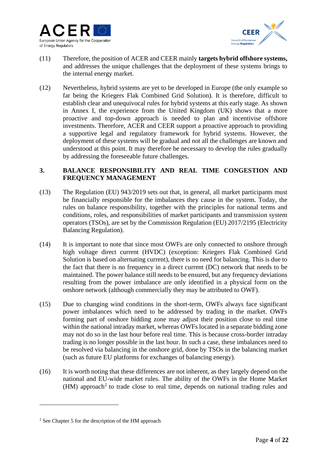



- (11) Therefore, the position of ACER and CEER mainly **targets hybrid offshore systems,**  and addresses the unique challenges that the deployment of these systems brings to the internal energy market.
- (12) Nevertheless, hybrid systems are yet to be developed in Europe (the only example so far being the Kriegers Flak Combined Grid Solution). It is therefore, difficult to establish clear and unequivocal rules for hybrid systems at this early stage. As shown in Annex I, the experience from the United Kingdom (UK) shows that a more proactive and top-down approach is needed to plan and incentivise offshore investments. Therefore, ACER and CEER support a proactive approach to providing a supportive legal and regulatory framework for hybrid systems. However, the deployment of these systems will be gradual and not all the challenges are known and understood at this point. It may therefore be necessary to develop the rules gradually by addressing the foreseeable future challenges.

#### **3. BALANCE RESPONSIBILITY AND REAL TIME CONGESTION AND FREQUENCY MANAGEMENT**

- (13) The Regulation (EU) 943/2019 sets out that, in general, all market participants must be financially responsible for the imbalances they cause in the system. Today, the rules on balance responsibility, together with the principles for national terms and conditions, roles, and responsibilities of market participants and transmission system operators (TSOs), are set by the Commission Regulation (EU) 2017/2195 (Electricity Balancing Regulation).
- (14) It is important to note that since most OWFs are only connected to onshore through high voltage direct current (HVDC) (exception: Kriegers Flak Combined Grid Solution is based on alternating current), there is no need for balancing. This is due to the fact that there is no frequency in a direct current (DC) network that needs to be maintained. The power balance still needs to be ensured, but any frequency deviations resulting from the power imbalance are only identified in a physical form on the onshore network (although commercially they may be attributed to OWF).
- (15) Due to changing wind conditions in the short-term, OWFs always face significant power imbalances which need to be addressed by trading in the market. OWFs forming part of onshore bidding zone may adjust their position close to real time within the national intraday market, whereas OWFs located in a separate bidding zone may not do so in the last hour before real time. This is because cross-border intraday trading is no longer possible in the last hour. In such a case, these imbalances need to be resolved via balancing in the onshore grid, done by TSOs in the balancing market (such as future EU platforms for exchanges of balancing energy).
- (16) It is worth noting that these differences are not inherent, as they largely depend on the national and EU-wide market rules. The ability of the OWFs in the Home Market  $(HM)$  approach<sup>2</sup> to trade close to real time, depends on national trading rules and

<sup>2</sup> See Chapter 5 for the description of the HM approach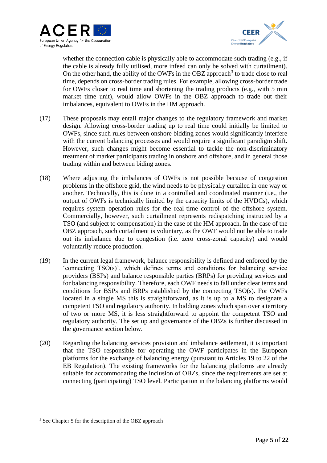



whether the connection cable is physically able to accommodate such trading (e.g., if the cable is already fully utilised, more infeed can only be solved with curtailment). On the other hand, the ability of the OWFs in the OBZ approach<sup>3</sup> to trade close to real time, depends on cross-border trading rules. For example, allowing cross-border trade for OWFs closer to real time and shortening the trading products (e.g., with 5 min market time unit), would allow OWFs in the OBZ approach to trade out their imbalances, equivalent to OWFs in the HM approach.

- (17) These proposals may entail major changes to the regulatory framework and market design. Allowing cross-border trading up to real time could initially be limited to OWFs, since such rules between onshore bidding zones would significantly interfere with the current balancing processes and would require a significant paradigm shift. However, such changes might become essential to tackle the non-discriminatory treatment of market participants trading in onshore and offshore, and in general those trading within and between biding zones.
- (18) Where adjusting the imbalances of OWFs is not possible because of congestion problems in the offshore grid, the wind needs to be physically curtailed in one way or another. Technically, this is done in a controlled and coordinated manner (i.e., the output of OWFs is technically limited by the capacity limits of the HVDCs), which requires system operation rules for the real-time control of the offshore system. Commercially, however, such curtailment represents redispatching instructed by a TSO (and subject to compensation) in the case of the HM approach. In the case of the OBZ approach, such curtailment is voluntary, as the OWF would not be able to trade out its imbalance due to congestion (i.e. zero cross-zonal capacity) and would voluntarily reduce production.
- (19) In the current legal framework, balance responsibility is defined and enforced by the 'connecting TSO(s)', which defines terms and conditions for balancing service providers (BSPs) and balance responsible parties (BRPs) for providing services and for balancing responsibility. Therefore, each OWF needs to fall under clear terms and conditions for BSPs and BRPs established by the connecting TSO(s). For OWFs located in a single MS this is straightforward, as it is up to a MS to designate a competent TSO and regulatory authority. In bidding zones which span over a territory of two or more MS, it is less straightforward to appoint the competent TSO and regulatory authority. The set up and governance of the OBZs is further discussed in the governance section below.
- (20) Regarding the balancing services provision and imbalance settlement, it is important that the TSO responsible for operating the OWF participates in the European platforms for the exchange of balancing energy (pursuant to Articles 19 to 22 of the EB Regulation). The existing frameworks for the balancing platforms are already suitable for accommodating the inclusion of OBZs, since the requirements are set at connecting (participating) TSO level. Participation in the balancing platforms would

<sup>&</sup>lt;sup>3</sup> See Chapter 5 for the description of the OBZ approach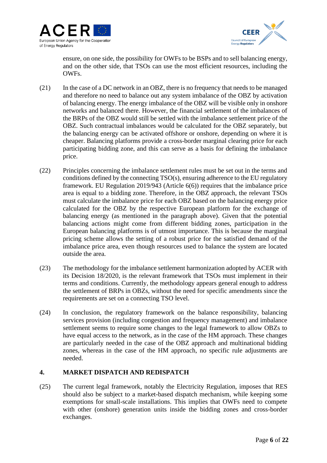



ensure, on one side, the possibility for OWFs to be BSPs and to sell balancing energy, and on the other side, that TSOs can use the most efficient resources, including the OWFs.

- (21) In the case of a DC network in an OBZ, there is no frequency that needs to be managed and therefore no need to balance out any system imbalance of the OBZ by activation of balancing energy. The energy imbalance of the OBZ will be visible only in onshore networks and balanced there. However, the financial settlement of the imbalances of the BRPs of the OBZ would still be settled with the imbalance settlement price of the OBZ. Such contractual imbalances would be calculated for the OBZ separately, but the balancing energy can be activated offshore or onshore, depending on where it is cheaper. Balancing platforms provide a cross-border marginal clearing price for each participating bidding zone, and this can serve as a basis for defining the imbalance price.
- (22) Principles concerning the imbalance settlement rules must be set out in the terms and conditions defined by the connecting TSO(s), ensuring adherence to the EU regulatory framework. EU Regulation 2019/943 (Article 6(6)) requires that the imbalance price area is equal to a bidding zone. Therefore, in the OBZ approach, the relevant TSOs must calculate the imbalance price for each OBZ based on the balancing energy price calculated for the OBZ by the respective European platform for the exchange of balancing energy (as mentioned in the paragraph above). Given that the potential balancing actions might come from different bidding zones, participation in the European balancing platforms is of utmost importance. This is because the marginal pricing scheme allows the setting of a robust price for the satisfied demand of the imbalance price area, even though resources used to balance the system are located outside the area.
- (23) The methodology for the imbalance settlement harmonization adopted by ACER with its Decision 18/2020, is the relevant framework that TSOs must implement in their terms and conditions. Currently, the methodology appears general enough to address the settlement of BRPs in OBZs, without the need for specific amendments since the requirements are set on a connecting TSO level.
- (24) In conclusion, the regulatory framework on the balance responsibility, balancing services provision (including congestion and frequency management) and imbalance settlement seems to require some changes to the legal framework to allow OBZs to have equal access to the network, as in the case of the HM approach. These changes are particularly needed in the case of the OBZ approach and multinational bidding zones, whereas in the case of the HM approach, no specific rule adjustments are needed.

### **4. MARKET DISPATCH AND REDISPATCH**

(25) The current legal framework, notably the Electricity Regulation, imposes that RES should also be subject to a market-based dispatch mechanism, while keeping some exemptions for small-scale installations. This implies that OWFs need to compete with other (onshore) generation units inside the bidding zones and cross-border exchanges.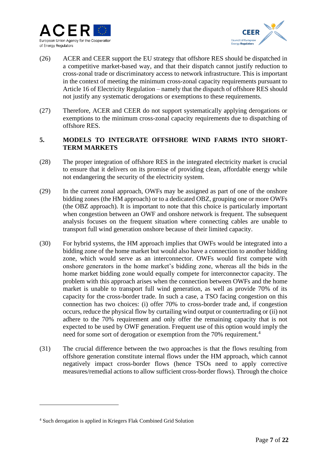



- (26) ACER and CEER support the EU strategy that offshore RES should be dispatched in a competitive market-based way, and that their dispatch cannot justify reduction to cross-zonal trade or discriminatory access to network infrastructure. This is important in the context of meeting the minimum cross-zonal capacity requirements pursuant to Article 16 of Electricity Regulation – namely that the dispatch of offshore RES should not justify any systematic derogations or exemptions to these requirements.
- (27) Therefore, ACER and CEER do not support systematically applying derogations or exemptions to the minimum cross-zonal capacity requirements due to dispatching of offshore RES.

### **5. MODELS TO INTEGRATE OFFSHORE WIND FARMS INTO SHORT-TERM MARKETS**

- (28) The proper integration of offshore RES in the integrated electricity market is crucial to ensure that it delivers on its promise of providing clean, affordable energy while not endangering the security of the electricity system.
- (29) In the current zonal approach, OWFs may be assigned as part of one of the onshore bidding zones (the HM approach) or to a dedicated OBZ, grouping one or more OWFs (the OBZ approach). It is important to note that this choice is particularly important when congestion between an OWF and onshore network is frequent. The subsequent analysis focuses on the frequent situation where connecting cables are unable to transport full wind generation onshore because of their limited capacity.
- (30) For hybrid systems, the HM approach implies that OWFs would be integrated into a bidding zone of the home market but would also have a connection to another bidding zone, which would serve as an interconnector. OWFs would first compete with onshore generators in the home market's bidding zone, whereas all the bids in the home market bidding zone would equally compete for interconnector capacity. The problem with this approach arises when the connection between OWFs and the home market is unable to transport full wind generation, as well as provide 70% of its capacity for the cross-border trade. In such a case, a TSO facing congestion on this connection has two choices: (i) offer 70% to cross-border trade and, if congestion occurs, reduce the physical flow by curtailing wind output or countertrading or (ii) not adhere to the 70% requirement and only offer the remaining capacity that is not expected to be used by OWF generation. Frequent use of this option would imply the need for some sort of derogation or exemption from the 70% requirement.<sup>4</sup>
- (31) The crucial difference between the two approaches is that the flows resulting from offshore generation constitute internal flows under the HM approach, which cannot negatively impact cross-border flows (hence TSOs need to apply corrective measures/remedial actions to allow sufficient cross-border flows). Through the choice

<sup>4</sup> Such derogation is applied in Kriegers Flak Combined Grid Solution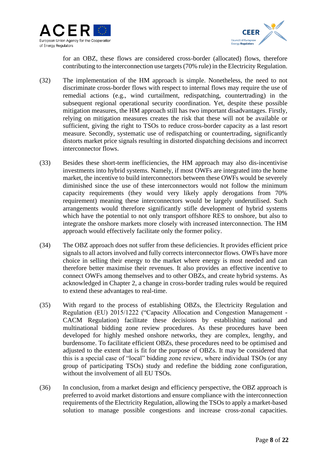



for an OBZ, these flows are considered cross-border (allocated) flows, therefore contributing to the interconnection use targets (70% rule) in the Electricity Regulation.

- (32) The implementation of the HM approach is simple. Nonetheless, the need to not discriminate cross-border flows with respect to internal flows may require the use of remedial actions (e.g., wind curtailment, redispatching, countertrading) in the subsequent regional operational security coordination. Yet, despite these possible mitigation measures, the HM approach still has two important disadvantages. Firstly, relying on mitigation measures creates the risk that these will not be available or sufficient, giving the right to TSOs to reduce cross-border capacity as a last resort measure. Secondly, systematic use of redispatching or countertrading, significantly distorts market price signals resulting in distorted dispatching decisions and incorrect interconnector flows.
- (33) Besides these short-term inefficiencies, the HM approach may also dis-incentivise investments into hybrid systems. Namely, if most OWFs are integrated into the home market, the incentive to build interconnectors between these OWFs would be severely diminished since the use of these interconnectors would not follow the minimum capacity requirements (they would very likely apply derogations from 70% requirement) meaning these interconnectors would be largely underutilised. Such arrangements would therefore significantly stifle development of hybrid systems which have the potential to not only transport offshore RES to onshore, but also to integrate the onshore markets more closely with increased interconnection. The HM approach would effectively facilitate only the former policy.
- (34) The OBZ approach does not suffer from these deficiencies. It provides efficient price signals to all actors involved and fully corrects interconnector flows. OWFs have more choice in selling their energy to the market where energy is most needed and can therefore better maximise their revenues. It also provides an effective incentive to connect OWFs among themselves and to other OBZs, and create hybrid systems. As acknowledged in Chapter 2, a change in cross-border trading rules would be required to extend these advantages to real-time.
- (35) With regard to the process of establishing OBZs, the Electricity Regulation and Regulation (EU) 2015/1222 ("Capacity Allocation and Congestion Management - CACM Regulation) facilitate these decisions by establishing national and multinational bidding zone review procedures. As these procedures have been developed for highly meshed onshore networks, they are complex, lengthy, and burdensome. To facilitate efficient OBZs, these procedures need to be optimised and adjusted to the extent that is fit for the purpose of OBZs. It may be considered that this is a special case of "local" bidding zone review, where individual TSOs (or any group of participating TSOs) study and redefine the bidding zone configuration, without the involvement of all EU TSOs.
- (36) In conclusion, from a market design and efficiency perspective, the OBZ approach is preferred to avoid market distortions and ensure compliance with the interconnection requirements of the Electricity Regulation, allowing the TSOs to apply a market-based solution to manage possible congestions and increase cross-zonal capacities.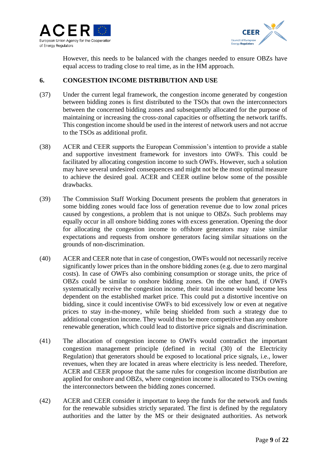



However, this needs to be balanced with the changes needed to ensure OBZs have equal access to trading close to real time, as in the HM approach.

### **6. CONGESTION INCOME DISTRIBUTION AND USE**

- (37) Under the current legal framework, the congestion income generated by congestion between bidding zones is first distributed to the TSOs that own the interconnectors between the concerned bidding zones and subsequently allocated for the purpose of maintaining or increasing the cross-zonal capacities or offsetting the network tariffs. This congestion income should be used in the interest of network users and not accrue to the TSOs as additional profit.
- (38) ACER and CEER supports the European Commission's intention to provide a stable and supportive investment framework for investors into OWFs. This could be facilitated by allocating congestion income to such OWFs. However, such a solution may have several undesired consequences and might not be the most optimal measure to achieve the desired goal. ACER and CEER outline below some of the possible drawbacks.
- (39) The Commission Staff Working Document presents the problem that generators in some bidding zones would face loss of generation revenue due to low zonal prices caused by congestions, a problem that is not unique to OBZs. Such problems may equally occur in all onshore bidding zones with excess generation. Opening the door for allocating the congestion income to offshore generators may raise similar expectations and requests from onshore generators facing similar situations on the grounds of non-discrimination.
- (40) ACER and CEER note that in case of congestion, OWFs would not necessarily receive significantly lower prices than in the onshore bidding zones (e.g. due to zero marginal costs). In case of OWFs also combining consumption or storage units, the price of OBZs could be similar to onshore bidding zones. On the other hand, if OWFs systematically receive the congestion income, their total income would become less dependent on the established market price. This could put a distortive incentive on bidding, since it could incentivise OWFs to bid excessively low or even at negative prices to stay in-the-money, while being shielded from such a strategy due to additional congestion income. They would thus be more competitive than any onshore renewable generation, which could lead to distortive price signals and discrimination.
- (41) The allocation of congestion income to OWFs would contradict the important congestion management principle (defined in recital (30) of the Electricity Regulation) that generators should be exposed to locational price signals, i.e., lower revenues, when they are located in areas where electricity is less needed. Therefore, ACER and CEER propose that the same rules for congestion income distribution are applied for onshore and OBZs, where congestion income is allocated to TSOs owning the interconnectors between the bidding zones concerned.
- (42) ACER and CEER consider it important to keep the funds for the network and funds for the renewable subsidies strictly separated. The first is defined by the regulatory authorities and the latter by the MS or their designated authorities. As network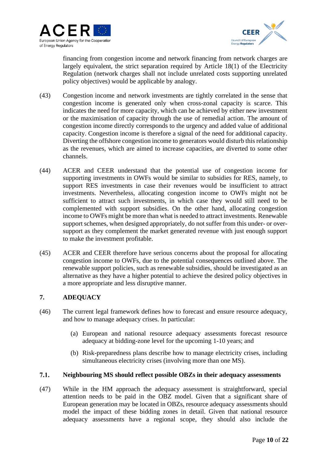



financing from congestion income and network financing from network charges are largely equivalent, the strict separation required by Article 18(1) of the Electricity Regulation (network charges shall not include unrelated costs supporting unrelated policy objectives) would be applicable by analogy.

- (43) Congestion income and network investments are tightly correlated in the sense that congestion income is generated only when cross-zonal capacity is scarce. This indicates the need for more capacity, which can be achieved by either new investment or the maximisation of capacity through the use of remedial action. The amount of congestion income directly corresponds to the urgency and added value of additional capacity. Congestion income is therefore a signal of the need for additional capacity. Diverting the offshore congestion income to generators would disturb this relationship as the revenues, which are aimed to increase capacities, are diverted to some other channels.
- (44) ACER and CEER understand that the potential use of congestion income for supporting investments in OWFs would be similar to subsidies for RES, namely, to support RES investments in case their revenues would be insufficient to attract investments. Nevertheless, allocating congestion income to OWFs might not be sufficient to attract such investments, in which case they would still need to be complemented with support subsidies. On the other hand, allocating congestion income to OWFs might be more than what is needed to attract investments. Renewable support schemes, when designed appropriately, do not suffer from this under- or oversupport as they complement the market generated revenue with just enough support to make the investment profitable.
- (45) ACER and CEER therefore have serious concerns about the proposal for allocating congestion income to OWFs, due to the potential consequences outlined above. The renewable support policies, such as renewable subsidies, should be investigated as an alternative as they have a higher potential to achieve the desired policy objectives in a more appropriate and less disruptive manner.

### **7. ADEQUACY**

- (46) The current legal framework defines how to forecast and ensure resource adequacy, and how to manage adequacy crises. In particular:
	- (a) European and national resource adequacy assessments forecast resource adequacy at bidding-zone level for the upcoming 1-10 years; and
	- (b) Risk-preparedness plans describe how to manage electricity crises, including simultaneous electricity crises (involving more than one MS).

#### $7.1.$ **Neighbouring MS should reflect possible OBZs in their adequacy assessments**

(47) While in the HM approach the adequacy assessment is straightforward, special attention needs to be paid in the OBZ model. Given that a significant share of European generation may be located in OBZs, resource adequacy assessments should model the impact of these bidding zones in detail. Given that national resource adequacy assessments have a regional scope, they should also include the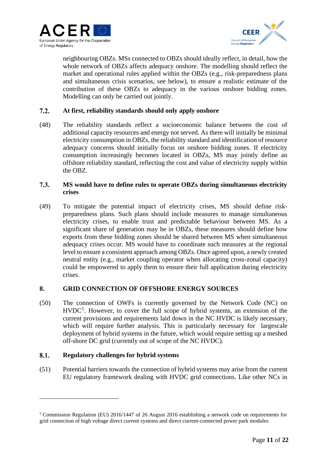



neighbouring OBZs. MSs connected to OBZs should ideally reflect, in detail, how the whole network of OBZs affects adequacy onshore. The modelling should reflect the market and operational rules applied within the OBZs (e.g., risk-preparedness plans and simultaneous crisis scenarios, see below), to ensure a realistic estimate of the contribution of these OBZs to adequacy in the various onshore bidding zones. Modelling can only be carried out jointly.

#### $7.2.$ **At first, reliability standards should only apply onshore**

(48) The reliability standards reflect a socioeconomic balance between the cost of additional capacity resources and energy not served. As there will initially be minimal electricity consumption in OBZs, the reliability standard and identification of resource adequacy concerns should initially focus on onshore bidding zones. If electricity consumption increasingly becomes located in OBZs, MS may jointly define an offshore reliability standard, reflecting the cost and value of electricity supply within the OBZ.

#### $7.3.$ **MS would have to define rules to operate OBZs during simultaneous electricity crises**

(49) To mitigate the potential impact of electricity crises, MS should define riskpreparedness plans. Such plans should include measures to manage simultaneous electricity crises, to enable trust and predictable behaviour between MS. As a significant share of generation may be in OBZs, these measures should define how exports from these bidding zones should be shared between MS when simultaneous adequacy crises occur. MS would have to coordinate such measures at the regional level to ensure a consistent approach among OBZs. Once agreed upon, a newly created neutral entity (e.g., market coupling operator when allocating cross-zonal capacity) could be empowered to apply them to ensure their full application during electricity crises.

#### **8. GRID CONNECTION OF OFFSHORE ENERGY SOURCES**

(50) The connection of OWFs is currently governed by the Network Code (NC) on  $HVDC<sup>5</sup>$ . However, to cover the full scope of hybrid systems, an extension of the current provisions and requirements laid down in the NC HVDC is likely necessary, which will require further analysis. This is particularly necessary for largescale deployment of hybrid systems in the future, which would require setting up a meshed off-shore DC grid (currently out of scope of the NC HVDC).

#### 8.1. **Regulatory challenges for hybrid systems**

(51) Potential barriers towards the connection of hybrid systems may arise from the current EU regulatory framework dealing with HVDC grid connections. Like other NCs in

<sup>5</sup> Commission Regulation (EU) 2016/1447 of 26 August 2016 establishing a network code on requirements for grid connection of high voltage direct current systems and direct current-connected power park modules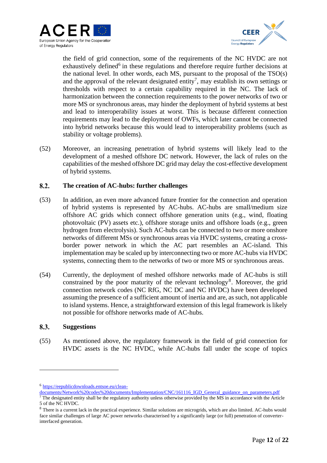



the field of grid connection, some of the requirements of the NC HVDC are not exhaustively defined<sup>6</sup> in these regulations and therefore require further decisions at the national level. In other words, each MS, pursuant to the proposal of the TSO(s) and the approval of the relevant designated entity<sup>7</sup>, may establish its own settings or thresholds with respect to a certain capability required in the NC. The lack of harmonization between the connection requirements to the power networks of two or more MS or synchronous areas, may hinder the deployment of hybrid systems at best and lead to interoperability issues at worst. This is because different connection requirements may lead to the deployment of OWFs, which later cannot be connected into hybrid networks because this would lead to interoperability problems (such as stability or voltage problems).

(52) Moreover, an increasing penetration of hybrid systems will likely lead to the development of a meshed offshore DC network. However, the lack of rules on the capabilities of the meshed offshore DC grid may delay the cost-effective development of hybrid systems.

#### $8.2.$ **The creation of AC-hubs: further challenges**

- (53) In addition, an even more advanced future frontier for the connection and operation of hybrid systems is represented by AC-hubs. AC-hubs are small/medium size offshore AC grids which connect offshore generation units (e.g., wind, floating photovoltaic (PV) assets etc.), offshore storage units and offshore loads (e.g., green hydrogen from electrolysis). Such AC-hubs can be connected to two or more onshore networks of different MSs or synchronous areas via HVDC systems, creating a crossborder power network in which the AC part resembles an AC-island. This implementation may be scaled up by interconnecting two or more AC-hubs via HVDC systems, connecting them to the networks of two or more MS or synchronous areas.
- (54) Currently, the deployment of meshed offshore networks made of AC-hubs is still constrained by the poor maturity of the relevant technology<sup>8</sup>. Moreover, the grid connection network codes (NC RfG, NC DC and NC HVDC) have been developed assuming the presence of a sufficient amount of inertia and are, as such, not applicable to island systems. Hence, a straightforward extension of this legal framework is likely not possible for offshore networks made of AC-hubs.

#### 8.3. **Suggestions**

(55) As mentioned above, the regulatory framework in the field of grid connection for HVDC assets is the NC HVDC, while AC-hubs fall under the scope of topics

<sup>6</sup> [https://eepublicdownloads.entsoe.eu/clean-](https://eepublicdownloads.entsoe.eu/clean-documents/Network%20codes%20documents/Implementation/CNC/161116_IGD_General_guidance_on_parameters.pdf)

[documents/Network%20codes%20documents/Implementation/CNC/161116\\_IGD\\_General\\_guidance\\_on\\_parameters.pdf](https://eepublicdownloads.entsoe.eu/clean-documents/Network%20codes%20documents/Implementation/CNC/161116_IGD_General_guidance_on_parameters.pdf)

 $<sup>7</sup>$  The designated entity shall be the regulatory authority unless otherwise provided by the MS in accordance with the Article</sup> 5 of the NC HVDC.

<sup>&</sup>lt;sup>8</sup> There is a current lack in the practical experience. Similar solutions are microgrids, which are also limited. AC-hubs would face similar challenges of large AC power networks characterised by a significantly large (or full) penetration of converterinterfaced generation.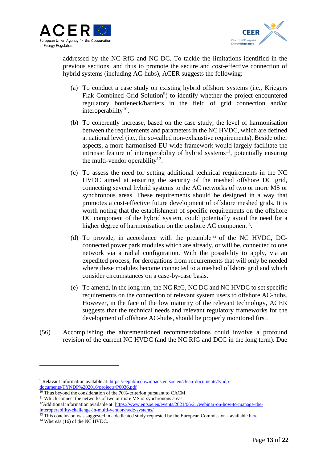



addressed by the NC RfG and NC DC. To tackle the limitations identified in the previous sections, and thus to promote the secure and cost-effective connection of hybrid systems (including AC-hubs), ACER suggests the following:

- (a) To conduct a case study on existing hybrid offshore systems (i.e., Kriegers Flak Combined Grid Solution<sup>9</sup>) to identify whether the project encountered regulatory bottleneck/barriers in the field of grid connection and/or interoperability<sup>10</sup>.
- (b) To coherently increase, based on the case study, the level of harmonisation between the requirements and parameters in the NC HVDC, which are defined at national level (i.e., the so-called non-exhaustive requirements). Beside other aspects, a more harmonised EU-wide framework would largely facilitate the intrinsic feature of interoperability of hybrid systems<sup>11</sup>, potentially ensuring the multi-vendor operability $12$ .
- (c) To assess the need for setting additional technical requirements in the NC HVDC aimed at ensuring the security of the meshed offshore DC grid, connecting several hybrid systems to the AC networks of two or more MS or synchronous areas. These requirements should be designed in a way that promotes a cost-effective future development of offshore meshed grids. It is worth noting that the establishment of specific requirements on the offshore DC component of the hybrid system, could potentially avoid the need for a higher degree of harmonisation on the onshore AC component<sup>13</sup>.
- (d) To provide, in accordance with the preamble <sup>14</sup> of the NC HVDC, DCconnected power park modules which are already, or will be, connected to one network via a radial configuration. With the possibility to apply, via an expedited process, for derogations from requirements that will only be needed where these modules become connected to a meshed offshore grid and which consider circumstances on a case-by-case basis.
- (e) To amend, in the long run, the NC RfG, NC DC and NC HVDC to set specific requirements on the connection of relevant system users to offshore AC-hubs. However, in the face of the low maturity of the relevant technology, ACER suggests that the technical needs and relevant regulatory frameworks for the development of offshore AC-hubs, should be properly monitored first.
- (56) Accomplishing the aforementioned recommendations could involve a profound revision of the current NC HVDC (and the NC RfG and DCC in the long term). Due

<sup>9</sup> Relavant information avalable at[: https://eepublicdownloads.entsoe.eu/clean-documents/tyndp](https://eepublicdownloads.entsoe.eu/clean-documents/tyndp-documents/TYNDP%202016/projects/P0036.pdf)[documents/TYNDP%202016/projects/P0036.pdf](https://eepublicdownloads.entsoe.eu/clean-documents/tyndp-documents/TYNDP%202016/projects/P0036.pdf)

 $\frac{10}{10}$  Thus beyond the consideration of the 70%-criterion pursuant to CACM.

<sup>&</sup>lt;sup>11</sup> Which connect the networks of two or more MS or synchronous areas.

<sup>&</sup>lt;sup>12</sup>Additional information available at[: https://www.entsoe.eu/events/2021/06/21/webinar-on-how-to-manage-the](https://www.entsoe.eu/events/2021/06/21/webinar-on-how-to-manage-the-interoperability-challenge-in-multi-vendor-hvdc-systems/)[interoperability-challenge-in-multi-vendor-hvdc-systems/](https://www.entsoe.eu/events/2021/06/21/webinar-on-how-to-manage-the-interoperability-challenge-in-multi-vendor-hvdc-systems/)

<sup>&</sup>lt;sup>13</sup> This conclusion was suggested in a dedicated study requested by the European Commission - availabl[e here.](https://op.europa.eu/en/publication-detail/-/publication/52f264ac-255f-11eb-9d7e-01aa75ed71a1/language-en)

<sup>&</sup>lt;sup>14</sup> Whereas (16) of the NC HVDC.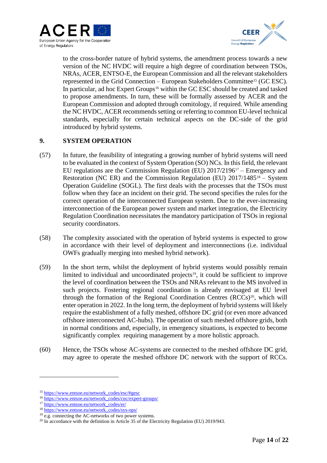



to the cross-border nature of hybrid systems, the amendment process towards a new version of the NC HVDC will require a high degree of coordination between TSOs, NRAs, ACER, ENTSO-E, the European Commission and all the relevant stakeholders represented in the Grid Connection – European Stakeholders Committee<sup>15</sup> (GC ESC). In particular, ad hoc Expert Groups<sup>16</sup> within the GC ESC should be created and tasked to propose amendments. In turn, these will be formally assessed by ACER and the European Commission and adopted through comitology, if required. While amending the NC HVDC, ACER recommends setting or referring to common EU-level technical standards, especially for certain technical aspects on the DC-side of the grid introduced by hybrid systems.

#### **9. SYSTEM OPERATION**

- (57) In future, the feasibility of integrating a growing number of hybrid systems will need to be evaluated in the context of System Operation (SO) NCs. In this field, the relevant EU regulations are the Commission Regulation (EU) 2017/2196<sup>17</sup> – Emergency and Restoration (NC ER) and the Commission Regulation (EU)  $2017/1485^{18} -$  System Operation Guideline (SOGL). The first deals with the processes that the TSOs must follow when they face an incident on their grid. The second specifies the rules for the correct operation of the interconnected European system. Due to the ever-increasing interconnection of the European power system and market integration, the Electricity Regulation Coordination necessitates the mandatory participation of TSOs in regional security coordinators.
- (58) The complexity associated with the operation of hybrid systems is expected to grow in accordance with their level of deployment and interconnections (i.e. individual OWFs gradually merging into meshed hybrid network).
- (59) In the short term, whilst the deployment of hybrid systems would possibly remain limited to individual and uncoordinated projects<sup>19</sup>, it could be sufficient to improve the level of coordination between the TSOs and NRAs relevant to the MS involved in such projects. Fostering regional coordination is already envisaged at EU level through the formation of the Regional Coordination Centres  $(RCCs)<sup>20</sup>$ , which will enter operation in 2022. In the long term, the deployment of hybrid systems will likely require the establishment of a fully meshed, offshore DC grid (or even more advanced offshore interconnected AC-hubs). The operation of such meshed offshore grids, both in normal conditions and, especially, in emergency situations, is expected to become significantly complex requiring management by a more holistic approach.
- (60) Hence, the TSOs whose AC-systems are connected to the meshed offshore DC grid, may agree to operate the meshed offshore DC network with the support of RCCs.

<sup>15</sup> [https://www.entsoe.eu/network\\_codes/esc/#gesc](https://www.entsoe.eu/network_codes/esc/#gesc)

<sup>16</sup> [https://www.entsoe.eu/network\\_codes/cnc/expert-groups/](https://www.entsoe.eu/network_codes/cnc/expert-groups/)

<sup>17</sup> [https://www.entsoe.eu/network\\_codes/er/](https://www.entsoe.eu/network_codes/er/)

<sup>18</sup> [https://www.entsoe.eu/network\\_codes/sys-ops/](https://www.entsoe.eu/network_codes/sys-ops/)

 $19$  e.g. connecting the AC-networks of two power systems.

<sup>&</sup>lt;sup>20</sup> In accordance with the definition in Article 35 of the Electricity Regulation (EU) 2019/943.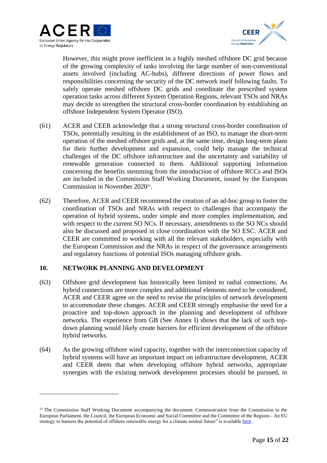



However, this might prove inefficient in a highly meshed offshore DC grid because of the growing complexity of tasks involving the large number of non-conventional assets involved (including AC-hubs), different directions of power flows and responsibilities concerning the security of the DC network itself following faults. To safely operate meshed offshore DC grids and coordinate the prescribed system operation tasks across different System Operation Regions, relevant TSOs and NRAs may decide to strengthen the structural cross-border coordination by establishing an offshore Independent System Operator (ISO).

- (61) ACER and CEER acknowledge that a strong structural cross-border coordination of TSOs, potentially resulting in the establishment of an ISO, to manage the short-term operation of the meshed offshore grids and, at the same time, design long-term plans for their further development and expansion, could help manage the technical challenges of the DC offshore infrastructure and the uncertainty and variability of renewable generation connected to them. Additional supporting information concerning the benefits stemming from the introduction of offshore RCCs and ISOs are included in the Commission Staff Working Document, issued by the European Commission in November 2020<sup>21</sup>.
- (62) Therefore, ACER and CEER recommend the creation of an ad-hoc group to foster the coordination of TSOs and NRAs with respect to challenges that accompany the operation of hybrid systems, under simple and more complex implementation, and with respect to the current SO NCs. If necessary, amendments to the SO NCs should also be discussed and proposed in close coordination with the SO ESC. ACER and CEER are committed to working with all the relevant stakeholders, especially with the European Commission and the NRAs in respect of the governance arrangements and regulatory functions of potential ISOs managing offshore grids.

#### **10. NETWORK PLANNING AND DEVELOPMENT**

- (63) Offshore grid development has historically been limited to radial connections. As hybrid connections are more complex and additional elements need to be considered, ACER and CEER agree on the need to revise the principles of network development to accommodate these changes. ACER and CEER strongly emphasise the need for a proactive and top-down approach in the planning and development of offshore networks. The experience from GB (See Annex I) shows that the lack of such topdown planning would likely create barriers for efficient development of the offshore hybrid networks.
- (64) As the growing offshore wind capacity, together with the interconnection capacity of hybrid systems will have an important impact on infrastructure development, ACER and CEER deem that when developing offshore hybrid networks, appropriate synergies with the existing network development processes should be pursued, in

<sup>&</sup>lt;sup>21</sup> The Commission Staff Working Document accompanying the document: Communication from the Commission to the European Parliament, the Council, the European Economic and Social Committee and the Committee of the Regions - An EU strategy to harness the potential of offshore renewable energy for a climate neutral future" is available [here.](https://eur-lex.europa.eu/legal-content/EN/TXT/?uri=SWD%3A2020%3A273%3AFIN&qid=1605792817427)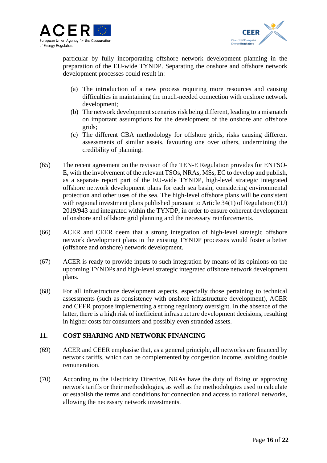



particular by fully incorporating offshore network development planning in the preparation of the EU-wide TYNDP. Separating the onshore and offshore network development processes could result in:

- (a) The introduction of a new process requiring more resources and causing difficulties in maintaining the much-needed connection with onshore network development;
- (b) The network development scenarios risk being different, leading to a mismatch on important assumptions for the development of the onshore and offshore grids;
- (c) The different CBA methodology for offshore grids, risks causing different assessments of similar assets, favouring one over others, undermining the credibility of planning.
- (65) The recent agreement on the revision of the TEN-E Regulation provides for ENTSO-E, with the involvement of the relevant TSOs, NRAs, MSs, EC to develop and publish, as a separate report part of the EU-wide TYNDP, high-level strategic integrated offshore network development plans for each sea basin, considering environmental protection and other uses of the sea. The high-level offshore plans will be consistent with regional investment plans published pursuant to Article 34(1) of Regulation (EU) 2019/943 and integrated within the TYNDP, in order to ensure coherent development of onshore and offshore grid planning and the necessary reinforcements.
- (66) ACER and CEER deem that a strong integration of high-level strategic offshore network development plans in the existing TYNDP processes would foster a better (offshore and onshore) network development.
- (67) ACER is ready to provide inputs to such integration by means of its opinions on the upcoming TYNDPs and high-level strategic integrated offshore network development plans.
- (68) For all infrastructure development aspects, especially those pertaining to technical assessments (such as consistency with onshore infrastructure development), ACER and CEER propose implementing a strong regulatory oversight. In the absence of the latter, there is a high risk of inefficient infrastructure development decisions, resulting in higher costs for consumers and possibly even stranded assets.

#### **11. COST SHARING AND NETWORK FINANCING**

- (69) ACER and CEER emphasise that, as a general principle, all networks are financed by network tariffs, which can be complemented by congestion income, avoiding double remuneration.
- (70) According to the Electricity Directive, NRAs have the duty of fixing or approving network tariffs or their methodologies, as well as the methodologies used to calculate or establish the terms and conditions for connection and access to national networks, allowing the necessary network investments.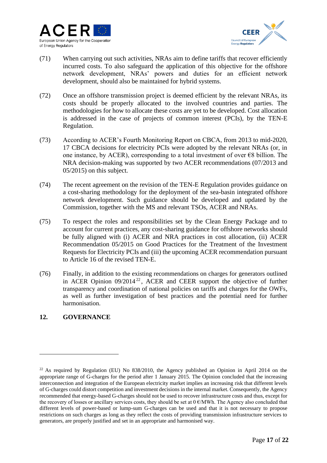



- (71) When carrying out such activities, NRAs aim to define tariffs that recover efficiently incurred costs. To also safeguard the application of this objective for the offshore network development, NRAs' powers and duties for an efficient network development, should also be maintained for hybrid systems.
- (72) Once an offshore transmission project is deemed efficient by the relevant NRAs, its costs should be properly allocated to the involved countries and parties. The methodologies for how to allocate these costs are yet to be developed. Cost allocation is addressed in the case of projects of common interest (PCIs), by the TEN-E Regulation.
- (73) According to ACER's Fourth Monitoring Report on CBCA, from 2013 to mid-2020, 17 CBCA decisions for electricity PCIs were adopted by the relevant NRAs (or, in one instance, by ACER), corresponding to a total investment of over  $\epsilon$ 8 billion. The NRA decision-making was supported by two ACER recommendations (07/2013 and 05/2015) on this subject.
- (74) The recent agreement on the revision of the TEN-E Regulation provides guidance on a cost-sharing methodology for the deployment of the sea-basin integrated offshore network development. Such guidance should be developed and updated by the Commission, together with the MS and relevant TSOs, ACER and NRAs.
- (75) To respect the roles and responsibilities set by the Clean Energy Package and to account for current practices, any cost-sharing guidance for offshore networks should be fully aligned with (i) ACER and NRA practices in cost allocation, (ii) ACER Recommendation 05/2015 on Good Practices for the Treatment of the Investment Requests for Electricity PCIs and (iii) the upcoming ACER recommendation pursuant to Article 16 of the revised TEN-E.
- (76) Finally, in addition to the existing recommendations on charges for generators outlined in ACER Opinion  $09/2014^{22}$ , ACER and CEER support the objective of further transparency and coordination of national policies on tariffs and charges for the OWFs, as well as further investigation of best practices and the potential need for further harmonisation.

### **12. GOVERNANCE**

<sup>&</sup>lt;sup>22</sup> As required by Regulation (EU) No  $838/2010$ , the Agency published an Opinion in April 2014 on the appropriate range of G-charges for the period after 1 January 2015. The Opinion concluded that the increasing interconnection and integration of the European electricity market implies an increasing risk that different levels of G-charges could distort competition and investment decisions in the internal market. Consequently, the Agency recommended that energy-based G-charges should not be used to recover infrastructure costs and thus, except for the recovery of losses or ancillary services costs, they should be set at  $0 \in \mathbb{MWh}$ . The Agency also concluded that different levels of power-based or lump-sum G-charges can be used and that it is not necessary to propose restrictions on such charges as long as they reflect the costs of providing transmission infrastructure services to generators, are properly justified and set in an appropriate and harmonised way.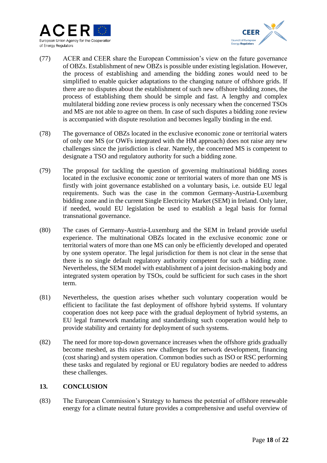



- (77) ACER and CEER share the European Commission's view on the future governance of OBZs. Establishment of new OBZs is possible under existing legislation. However, the process of establishing and amending the bidding zones would need to be simplified to enable quicker adaptations to the changing nature of offshore grids. If there are no disputes about the establishment of such new offshore bidding zones, the process of establishing them should be simple and fast. A lengthy and complex multilateral bidding zone review process is only necessary when the concerned TSOs and MS are not able to agree on them. In case of such disputes a bidding zone review is accompanied with dispute resolution and becomes legally binding in the end.
- (78) The governance of OBZs located in the exclusive economic zone or territorial waters of only one MS (or OWFs integrated with the HM approach) does not raise any new challenges since the jurisdiction is clear. Namely, the concerned MS is competent to designate a TSO and regulatory authority for such a bidding zone.
- (79) The proposal for tackling the question of governing multinational bidding zones located in the exclusive economic zone or territorial waters of more than one MS is firstly with joint governance established on a voluntary basis, i.e. outside EU legal requirements. Such was the case in the common Germany-Austria-Luxemburg bidding zone and in the current Single Electricity Market (SEM) in Ireland. Only later, if needed, would EU legislation be used to establish a legal basis for formal transnational governance.
- (80) The cases of Germany-Austria-Luxemburg and the SEM in Ireland provide useful experience. The multinational OBZs located in the exclusive economic zone or territorial waters of more than one MS can only be efficiently developed and operated by one system operator. The legal jurisdiction for them is not clear in the sense that there is no single default regulatory authority competent for such a bidding zone. Nevertheless, the SEM model with establishment of a joint decision-making body and integrated system operation by TSOs, could be sufficient for such cases in the short term.
- (81) Nevertheless, the question arises whether such voluntary cooperation would be efficient to facilitate the fast deployment of offshore hybrid systems. If voluntary cooperation does not keep pace with the gradual deployment of hybrid systems, an EU legal framework mandating and standardising such cooperation would help to provide stability and certainty for deployment of such systems.
- (82) The need for more top-down governance increases when the offshore grids gradually become meshed, as this raises new challenges for network development, financing (cost sharing) and system operation. Common bodies such as ISO or RSC performing these tasks and regulated by regional or EU regulatory bodies are needed to address these challenges.

### **13. CONCLUSION**

(83) The European Commission's Strategy to harness the potential of offshore renewable energy for a climate neutral future provides a comprehensive and useful overview of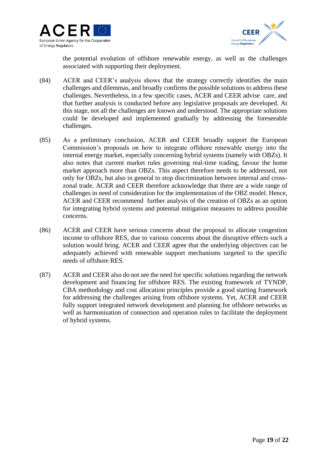



the potential evolution of offshore renewable energy, as well as the challenges associated with supporting their deployment.

- (84) ACER and CEER's analysis shows that the strategy correctly identifies the main challenges and dilemmas, and broadly confirms the possible solutions to address these challenges. Nevertheless, in a few specific cases, ACER and CEER advise care, and that further analysis is conducted before any legislative proposals are developed. At this stage, not all the challenges are known and understood. The appropriate solutions could be developed and implemented gradually by addressing the foreseeable challenges.
- (85) As a preliminary conclusion, ACER and CEER broadly support the European Commission's proposals on how to integrate offshore renewable energy into the internal energy market, especially concerning hybrid systems (namely with OBZs). It also notes that current market rules governing real-time trading, favour the home market approach more than OBZs. This aspect therefore needs to be addressed, not only for OBZs, but also in general to stop discrimination between internal and crosszonal trade. ACER and CEER therefore acknowledge that there are a wide range of challenges in need of consideration for the implementation of the OBZ model. Hence, ACER and CEER recommend further analysis of the creation of OBZs as an option for integrating hybrid systems and potential mitigation measures to address possible concerns.
- (86) ACER and CEER have serious concerns about the proposal to allocate congestion income to offshore RES, due to various concerns about the disruptive effects such a solution would bring. ACER and CEER agree that the underlying objectives can be adequately achieved with renewable support mechanisms targeted to the specific needs of offshore RES.
- (87) ACER and CEER also do not see the need for specific solutions regarding the network development and financing for offshore RES. The existing framework of TYNDP, CBA methodology and cost allocation principles provide a good starting framework for addressing the challenges arising from offshore systems. Yet, ACER and CEER fully support integrated network development and planning for offshore networks as well as harmonisation of connection and operation rules to facilitate the deployment of hybrid systems.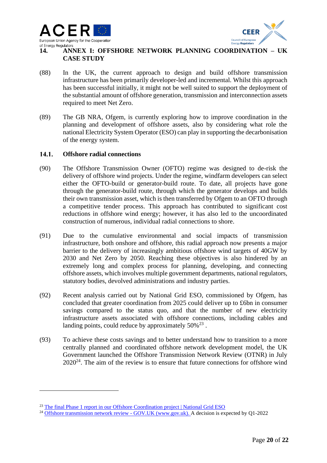



### **14. ANNEX I: OFFSHORE NETWORK PLANNING COORDINATION – UK CASE STUDY**

- (88) In the UK, the current approach to design and build offshore transmission infrastructure has been primarily developer-led and incremental. Whilst this approach has been successful initially, it might not be well suited to support the deployment of the substantial amount of offshore generation, transmission and interconnection assets required to meet Net Zero.
- (89) The GB NRA, Ofgem, is currently exploring how to improve coordination in the planning and development of offshore assets, also by considering what role the national Electricity System Operator (ESO) can play in supporting the decarbonisation of the energy system.

#### $14.1.$ **Offshore radial connections**

- (90) The Offshore Transmission Owner (OFTO) regime was designed to de-risk the delivery of offshore wind projects. Under the regime, windfarm developers can select either the OFTO-build or generator-build route. To date, all projects have gone through the generator-build route, through which the generator develops and builds their own transmission asset, which is then transferred by Ofgem to an OFTO through a competitive tender process. This approach has contributed to significant cost reductions in offshore wind energy; however, it has also led to the uncoordinated construction of numerous, individual radial connections to shore.
- (91) Due to the cumulative environmental and social impacts of transmission infrastructure, both onshore and offshore, this radial approach now presents a major barrier to the delivery of increasingly ambitious offshore wind targets of 40GW by 2030 and Net Zero by 2050. Reaching these objectives is also hindered by an extremely long and complex process for planning, developing, and connecting offshore assets, which involves multiple government departments, national regulators, statutory bodies, devolved administrations and industry parties.
- (92) Recent analysis carried out by National Grid ESO, commissioned by Ofgem, has concluded that greater coordination from 2025 could deliver up to £6bn in consumer savings compared to the status quo, and that the number of new electricity infrastructure assets associated with offshore connections, including cables and landing points, could reduce by approximately  $50\%^{23}$ .
- (93) To achieve these costs savings and to better understand how to transition to a more centrally planned and coordinated offshore network development model, the UK Government launched the Offshore Transmission Network Review (OTNR) in July  $2020^{24}$ . The aim of the review is to ensure that future connections for offshore wind

<sup>&</sup>lt;sup>23</sup> [The final Phase 1 report in our Offshore Coordination project | National Grid ESO](https://www.nationalgrideso.com/news/final-phase-1-report-our-offshore-coordination-project)

<sup>&</sup>lt;sup>24</sup> [Offshore transmission network review -](https://www.gov.uk/government/groups/offshore-transmission-network-review) GOV.UK (www.gov.uk). A decision is expected by O1-2022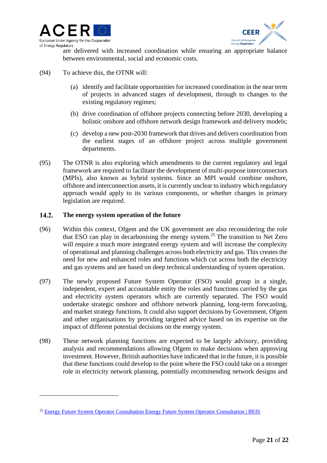



are delivered with increased coordination while ensuring an appropriate balance between environmental, social and economic costs.

- (94) To achieve this, the OTNR will:
	- (a) identify and facilitate opportunities for increased coordination in the near term of projects in advanced stages of development, through to changes to the existing regulatory regimes;
	- (b) drive coordination of offshore projects connecting before 2030, developing a holistic onshore and offshore network design framework and delivery models;
	- (c) develop a new post-2030 framework that drives and delivers coordination from the earliest stages of an offshore project across multiple government departments.
- (95) The OTNR is also exploring which amendments to the current regulatory and legal framework are required to facilitate the development of multi-purpose interconnectors (MPIs), also known as hybrid systems. Since an MPI would combine onshore, offshore and interconnection assets, it is currently unclear to industry which regulatory approach would apply to its various components, or whether changes in primary legislation are required.

#### $14.2.$ **The energy system operation of the future**

- (96) Within this context, Ofgem and the UK government are also reconsidering the role that ESO can play in decarbonising the energy system.<sup>25</sup> The transition to Net Zero will require a much more integrated energy system and will increase the complexity of operational and planning challenges across both electricity and gas. This creates the need for new and enhanced roles and functions which cut across both the electricity and gas systems and are based on deep technical understanding of system operation.
- (97) The newly proposed Future System Operator (FSO) would group in a single, independent, expert and accountable entity the roles and functions carried by the gas and electricity system operators which are currently separated. The FSO would undertake strategic onshore and offshore network planning, long-term forecasting, and market strategy functions. It could also support decisions by Government, Ofgem and other organisations by providing targeted advice based on its expertise on the impact of different potential decisions on the energy system.
- (98) These network planning functions are expected to be largely advisory, providing analysis and recommendations allowing Ofgem to make decisions when approving investment. However, British authorities have indicated that in the future, it is possible that these functions could develop to the point where the FSO could take on a stronger role in electricity network planning, potentially recommending network designs and

<sup>&</sup>lt;sup>25</sup> [Energy Future System Operator Consultation Energy Future System Operator Consultation | BEIS](https://assets.publishing.service.gov.uk/government/uploads/system/uploads/attachment_data/file/1004044/energy-future-system-operator-condoc.pdf)